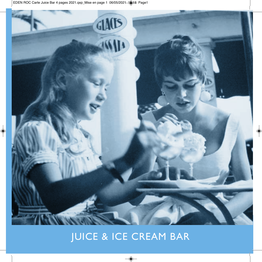# JUICE & ICE CREAM BAR

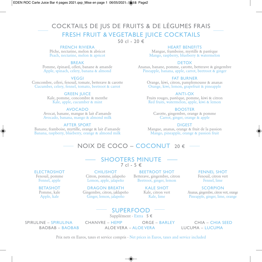# COCKTAILS DE JUS DE FRUITS & DE LÉGUMES FRAIS

### FRESH FRUIT & VEGETABLE JUICE COCKTAILS

50 cl - 20 €

### FRENCH RIVIERA

Pêche, nectarine, melon & abricot Peach, nectarine, melon & apricot

### BREAK

Pomme, épinard, céleri, banane & amande Apple, spinach, celery, banana & almond

#### **VEGGI**

Concombre, céleri, fenouil, tomate, betterave & carotte Cucumber, celery, fennel, tomato, beetroot & carrot

### **GREEN IUICE**

Kale, pomme, concombre & menthe Kale, apple, cucumber & mint

### AVOCADO

Avocat, banane, mangue & lait d'amande Avocado, banana, mango & almond milk

### AFTER SPORT

Banane, framboise, myrtille, orange & lait d'amande Banana, raspberry, blueberry, orange & almond milk

### HEART BENEFITS

Mangue, framboise, myrtille & pastèque Mango, raspberry, blueberry & watermelon

#### **DETOX**

Ananas, banane, pomme, carotte, betterave & gingembre Pineapple, banana, apple, carrot, beetroot & ginger

### FAT BURNER

Orange, kiwi, citron, pamplemousse & ananas Orange, kiwi, lemon, grapefruit & pineapple

#### ANTI-OX

Fruits rouges, pastèque, pomme, kiwi & citron Red fruits, watermelon, apple, kiwi & lemon

### BOOSTER

Carotte, gingembre, orange & pomme Carrot, ginger, orange & apple

### DIGEST

Mangue, ananas, orange & fruit de la passion Mango, pineapple, orange & passion fruit

### $-$  NOIX DE COCO – COCONUT 20  $\epsilon$

### SHOOTERS MINUTE 7 cl - 5 €

### ELECTROSHOT

Fenouil, pomme Fennel, apple

### BETASHOT

Pomme, kale Apple, kale

CHILISHOT Citron, pomme, jalapeño Lemon, apple, jalapeño

DRAGON BREATH Gingembre, citron, jaklapeño Ginger, lemon, jalapeño

BEETROOT SHOT Betterave, gingembre, citron Beetroot, ginger, lemon

> KALE SHOT Kale, citron vert Kale, lime

FENNEL SHOT Fenouil, citron vert Fennel, lime

#### **SCORPION**

Ananas, gingembre, citron vert, orange Pineapple, ginger, lime, orange

## SUPERFOOD

Supplément - Extra 5 €

SPIRULINE – SPIRULINA CHANVRE – HEMP ORGE – BARLEY CHIA – CHIA SEED BAOBAB – BAOBAB ALOE VERA – ALOE VERA LUCUMA – LUCUMA

Prix nets en Euros, taxes et service compris - Net prices in Euros, taxes and service included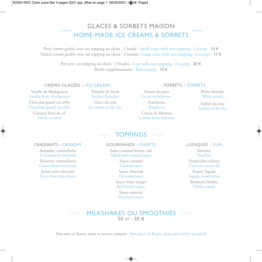# GLACES & SORBETS MAISON HOME-MADE ICE CREAMS & SORBETS

Petit cornet gaufré avec un topping au choix - 1 boule - Small cone with one topping - 1 scoop  $10 \in$ Grand cornet gaufré avec un topping au choix - 2 boules - Large cone with one topping - 2 scoops  $15 \in$ 

> Pot avec un topping au choix - 3 boules - Cup with one topping - 3 scoops 20  $\epsilon$ Boule supplémentaire - Extra scoop 10 €

### CRèMES GLACÉES – ICE CREAMS SORBETS – SORBETS

Vanille de Madagascar Vanilla from Madagascar Chocolat grand cru 64% Chocolate grand cru 64%

> Caramel fleur de sel Salted caramel

Pistache de Sicile Sicilian Pistachio Glace du jour Ice cream of the day

Fraises du pays Local strawberries

Framboise Raspberry Citron de Menton Lemon from Menton Pêche blanche White peach

Sorbet du jour Sorbet of the day

### TOPPINGS

### CRAQUANTS – CRUNCHY

Amandes caramélisées Caramelized almonds

Noisettes caramélisées Caramelized hazelnuts

Eclats oréo chocolat Oreo chocolate slivers

### GOURMANDS – SWEETS

Sauce caramel beurre salé Salted better caramel sauce

> Sauce caramel Caramel sauce

Sauce chocolat Chocolate sauce

Sauce fruits rouges Red berries sauce

Sauce noisette Hazelnut sauce LUDIQUES – FUN Smarties Smarties

Vermicelles colorés Colored vermicelli

Fraises Tagada Tagada strawberries

Bonbons Haribo Haribo candy

### MILKSHAKES OU SMOOTHIES 50 cl - 20 €

Prix nets en Euros, taxes et service compris - Net prices in Euros, taxes and service included